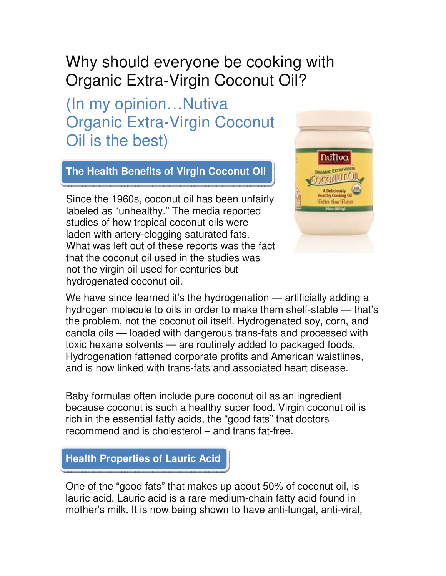## Why should everyone be cooking with Organic Extra-Virgin Coconut Oil?

(In my opinion…Nutiva Organic Extra-Virgin Coconut Oil is the best)

## **The Health Benefits of Virgin Coconut Oil**

What was left out of these reports was the fact Since the 1960s, coconut oil has been unfairly labeled as "unhealthy." The media reported studies of how tropical coconut oils were laden with artery-clogging saturated fats. that the coconut oil used in the studies was not the virgin oil used for centuries but hydrogenated coconut oil.



We have since learned it's the hydrogenation — artificially adding a hydrogen molecule to oils in order to make them shelf-stable — that's the problem, not the coconut oil itself. Hydrogenated soy, corn, and canola oils — loaded with dangerous trans-fats and processed with toxic hexane solvents — are routinely added to packaged foods. Hydrogenation fattened corporate profits and American waistlines, and is now linked with trans-fats and associated heart disease.

Baby formulas often include pure coconut oil as an ingredient because coconut is such a healthy super food. Virgin coconut oil is rich in the essential fatty acids, the "good fats" that doctors recommend and is cholesterol – and trans fat-free.

## **Health Properties of Lauric Acid**

One of the "good fats" that makes up about 50% of coconut oil, is lauric acid. Lauric acid is a rare medium-chain fatty acid found in mother's milk. It is now being shown to have anti-fungal, anti-viral,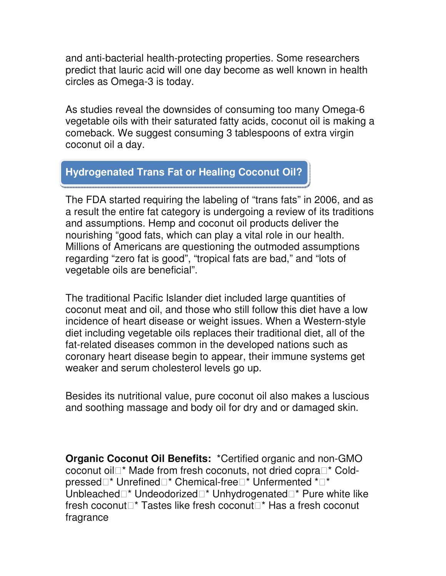and anti-bacterial health-protecting properties. Some researchers predict that lauric acid will one day become as well known in health circles as Omega-3 is today.

As studies reveal the downsides of consuming too many Omega-6 vegetable oils with their saturated fatty acids, coconut oil is making a comeback. We suggest consuming 3 tablespoons of extra virgin coconut oil a day.

## **Hydrogenated Trans Fat or Healing Coconut Oil?**

The FDA started requiring the labeling of "trans fats" in 2006, and as a result the entire fat category is undergoing a review of its traditions and assumptions. Hemp and coconut oil products deliver the nourishing "good fats, which can play a vital role in our health. Millions of Americans are questioning the outmoded assumptions regarding "zero fat is good", "tropical fats are bad," and "lots of vegetable oils are beneficial".

The traditional Pacific Islander diet included large quantities of coconut meat and oil, and those who still follow this diet have a low incidence of heart disease or weight issues. When a Western-style diet including vegetable oils replaces their traditional diet, all of the fat-related diseases common in the developed nations such as coronary heart disease begin to appear, their immune systems get weaker and serum cholesterol levels go up.

Besides its nutritional value, pure coconut oil also makes a luscious and soothing massage and body oil for dry and or damaged skin.

**Organic Coconut Oil Benefits:** \*Certified organic and non-GMO coconut oil \* Made from fresh coconuts, not dried copra \* Coldpressed \* Unrefined \* Chemical-free \* Unfermented \* \* Unbleached \* Undeodorized \* Unhydrogenated \* Pure white like fresh coconut \* Tastes like fresh coconut \* Has a fresh coconut fragrance